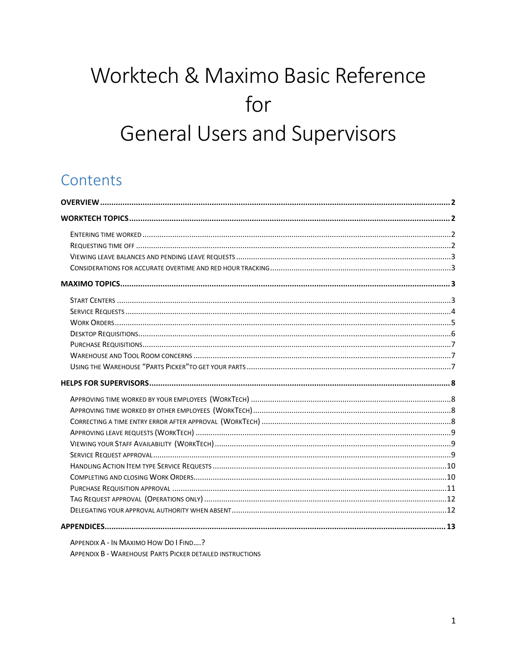# Worktech & Maximo Basic Reference for **General Users and Supervisors**

# Contents

APPENDIX A - IN MAXIMO HOW DO I FIND....?

APPENDIX B - WAREHOUSE PARTS PICKER DETAILED INSTRUCTIONS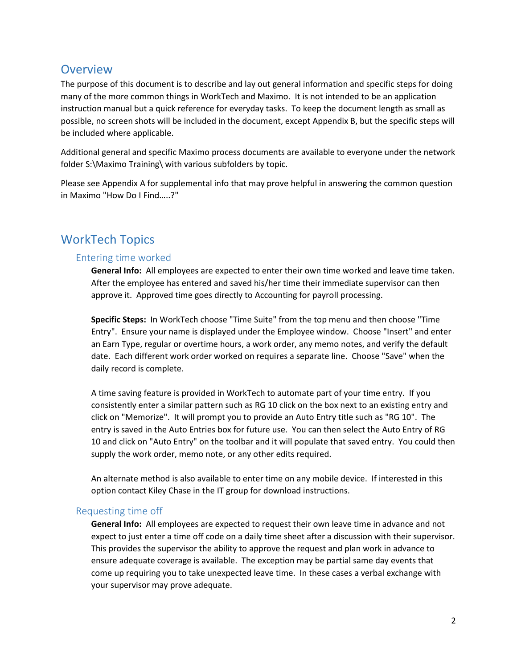### **Overview**

The purpose of this document is to describe and lay out general information and specific steps for doing many of the more common things in WorkTech and Maximo. It is not intended to be an application instruction manual but a quick reference for everyday tasks. To keep the document length as small as possible, no screen shots will be included in the document, except Appendix B, but the specific steps will be included where applicable.

Additional general and specific Maximo process documents are available to everyone under the network folder S:\Maximo Training\ with various subfolders by topic.

Please see Appendix A for supplemental info that may prove helpful in answering the common question in Maximo "How Do I Find…..?"

### WorkTech Topics

### Entering time worked

**General Info:** All employees are expected to enter their own time worked and leave time taken. After the employee has entered and saved his/her time their immediate supervisor can then approve it. Approved time goes directly to Accounting for payroll processing.

**Specific Steps:** In WorkTech choose "Time Suite" from the top menu and then choose "Time Entry". Ensure your name is displayed under the Employee window. Choose "Insert" and enter an Earn Type, regular or overtime hours, a work order, any memo notes, and verify the default date. Each different work order worked on requires a separate line. Choose "Save" when the daily record is complete.

A time saving feature is provided in WorkTech to automate part of your time entry. If you consistently enter a similar pattern such as RG 10 click on the box next to an existing entry and click on "Memorize". It will prompt you to provide an Auto Entry title such as "RG 10". The entry is saved in the Auto Entries box for future use. You can then select the Auto Entry of RG 10 and click on "Auto Entry" on the toolbar and it will populate that saved entry. You could then supply the work order, memo note, or any other edits required.

An alternate method is also available to enter time on any mobile device. If interested in this option contact Kiley Chase in the IT group for download instructions.

### Requesting time off

**General Info:** All employees are expected to request their own leave time in advance and not expect to just enter a time off code on a daily time sheet after a discussion with their supervisor. This provides the supervisor the ability to approve the request and plan work in advance to ensure adequate coverage is available. The exception may be partial same day events that come up requiring you to take unexpected leave time. In these cases a verbal exchange with your supervisor may prove adequate.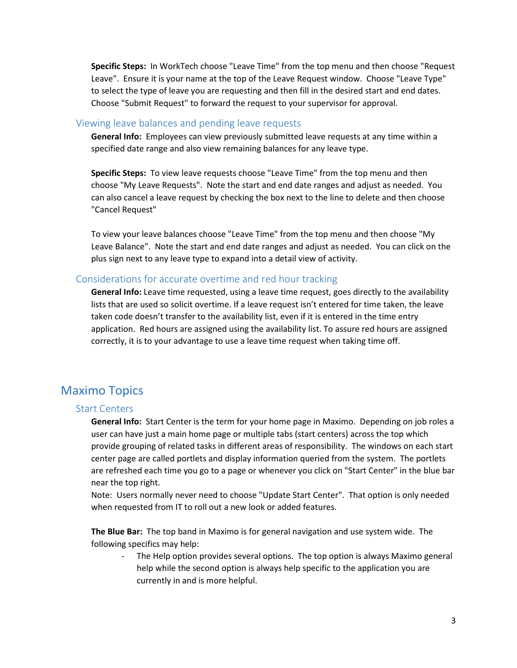**Specific Steps:** In WorkTech choose "Leave Time" from the top menu and then choose "Request Leave". Ensure it is your name at the top of the Leave Request window. Choose "Leave Type" to select the type of leave you are requesting and then fill in the desired start and end dates. Choose "Submit Request" to forward the request to your supervisor for approval.

#### Viewing leave balances and pending leave requests

**General Info:** Employees can view previously submitted leave requests at any time within a specified date range and also view remaining balances for any leave type.

**Specific Steps:** To view leave requests choose "Leave Time" from the top menu and then choose "My Leave Requests". Note the start and end date ranges and adjust as needed. You can also cancel a leave request by checking the box next to the line to delete and then choose "Cancel Request"

To view your leave balances choose "Leave Time" from the top menu and then choose "My Leave Balance". Note the start and end date ranges and adjust as needed. You can click on the plus sign next to any leave type to expand into a detail view of activity.

### Considerations for accurate overtime and red hour tracking

**General Info:** Leave time requested, using a leave time request, goes directly to the availability lists that are used so solicit overtime. If a leave request isn't entered for time taken, the leave taken code doesn't transfer to the availability list, even if it is entered in the time entry application. Red hours are assigned using the availability list. To assure red hours are assigned correctly, it is to your advantage to use a leave time request when taking time off.

### Maximo Topics

#### Start Centers

**General Info:** Start Center is the term for your home page in Maximo. Depending on job roles a user can have just a main home page or multiple tabs (start centers) across the top which provide grouping of related tasks in different areas of responsibility. The windows on each start center page are called portlets and display information queried from the system. The portlets are refreshed each time you go to a page or whenever you click on "Start Center" in the blue bar near the top right.

Note: Users normally never need to choose "Update Start Center". That option is only needed when requested from IT to roll out a new look or added features.

**The Blue Bar:** The top band in Maximo is for general navigation and use system wide. The following specifics may help:

The Help option provides several options. The top option is always Maximo general help while the second option is always help specific to the application you are currently in and is more helpful.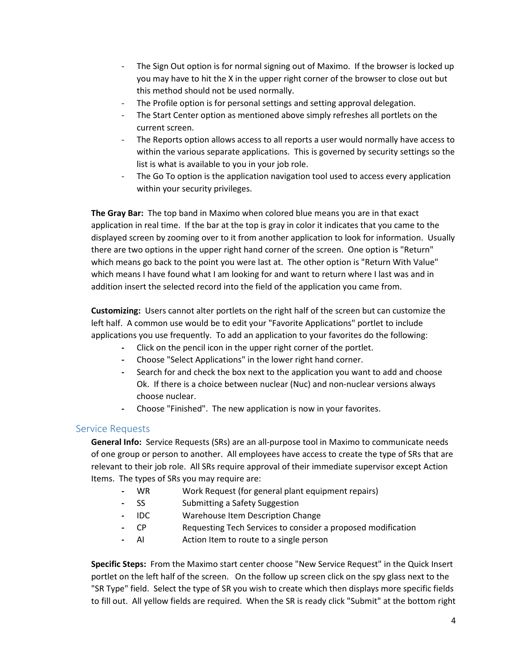- The Sign Out option is for normal signing out of Maximo. If the browser is locked up you may have to hit the X in the upper right corner of the browser to close out but this method should not be used normally.
- The Profile option is for personal settings and setting approval delegation.
- The Start Center option as mentioned above simply refreshes all portlets on the current screen.
- The Reports option allows access to all reports a user would normally have access to within the various separate applications. This is governed by security settings so the list is what is available to you in your job role.
- The Go To option is the application navigation tool used to access every application within your security privileges.

**The Gray Bar:** The top band in Maximo when colored blue means you are in that exact application in real time. If the bar at the top is gray in color it indicates that you came to the displayed screen by zooming over to it from another application to look for information. Usually there are two options in the upper right hand corner of the screen. One option is "Return" which means go back to the point you were last at. The other option is "Return With Value" which means I have found what I am looking for and want to return where I last was and in addition insert the selected record into the field of the application you came from.

**Customizing:** Users cannot alter portlets on the right half of the screen but can customize the left half. A common use would be to edit your "Favorite Applications" portlet to include applications you use frequently. To add an application to your favorites do the following:

- **-** Click on the pencil icon in the upper right corner of the portlet.
- **-** Choose "Select Applications" in the lower right hand corner.
- **-** Search for and check the box next to the application you want to add and choose Ok. If there is a choice between nuclear (Nuc) and non-nuclear versions always choose nuclear.
- **-** Choose "Finished". The new application is now in your favorites.

### Service Requests

**General Info:** Service Requests (SRs) are an all-purpose tool in Maximo to communicate needs of one group or person to another. All employees have access to create the type of SRs that are relevant to their job role. All SRs require approval of their immediate supervisor except Action Items. The types of SRs you may require are:

- **-** WR Work Request (for general plant equipment repairs)
- **-** SS Submitting a Safety Suggestion
- **-** IDC Warehouse Item Description Change
- **-** CP Requesting Tech Services to consider a proposed modification
- **-** AI Action Item to route to a single person

**Specific Steps:** From the Maximo start center choose "New Service Request" in the Quick Insert portlet on the left half of the screen. On the follow up screen click on the spy glass next to the "SR Type" field. Select the type of SR you wish to create which then displays more specific fields to fill out. All yellow fields are required. When the SR is ready click "Submit" at the bottom right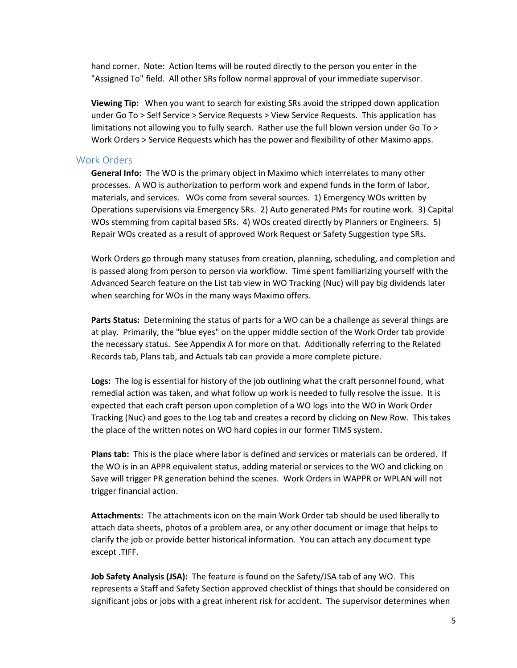hand corner. Note: Action Items will be routed directly to the person you enter in the "Assigned To" field. All other SRs follow normal approval of your immediate supervisor.

**Viewing Tip:** When you want to search for existing SRs avoid the stripped down application under Go To > Self Service > Service Requests > View Service Requests. This application has limitations not allowing you to fully search. Rather use the full blown version under Go To > Work Orders > Service Requests which has the power and flexibility of other Maximo apps.

### Work Orders

**General Info:** The WO is the primary object in Maximo which interrelates to many other processes. A WO is authorization to perform work and expend funds in the form of labor, materials, and services. WOs come from several sources. 1) Emergency WOs written by Operations supervisions via Emergency SRs. 2) Auto generated PMs for routine work. 3) Capital WOs stemming from capital based SRs. 4) WOs created directly by Planners or Engineers. 5) Repair WOs created as a result of approved Work Request or Safety Suggestion type SRs.

Work Orders go through many statuses from creation, planning, scheduling, and completion and is passed along from person to person via workflow. Time spent familiarizing yourself with the Advanced Search feature on the List tab view in WO Tracking (Nuc) will pay big dividends later when searching for WOs in the many ways Maximo offers.

**Parts Status:** Determining the status of parts for a WO can be a challenge as several things are at play. Primarily, the "blue eyes" on the upper middle section of the Work Order tab provide the necessary status. See Appendix A for more on that. Additionally referring to the Related Records tab, Plans tab, and Actuals tab can provide a more complete picture.

**Logs:** The log is essential for history of the job outlining what the craft personnel found, what remedial action was taken, and what follow up work is needed to fully resolve the issue. It is expected that each craft person upon completion of a WO logs into the WO in Work Order Tracking (Nuc) and goes to the Log tab and creates a record by clicking on New Row. This takes the place of the written notes on WO hard copies in our former TIMS system.

**Plans tab:** This is the place where labor is defined and services or materials can be ordered. If the WO is in an APPR equivalent status, adding material or services to the WO and clicking on Save will trigger PR generation behind the scenes. Work Orders in WAPPR or WPLAN will not trigger financial action.

**Attachments:** The attachments icon on the main Work Order tab should be used liberally to attach data sheets, photos of a problem area, or any other document or image that helps to clarify the job or provide better historical information. You can attach any document type except .TIFF.

**Job Safety Analysis (JSA):** The feature is found on the Safety/JSA tab of any WO. This represents a Staff and Safety Section approved checklist of things that should be considered on significant jobs or jobs with a great inherent risk for accident. The supervisor determines when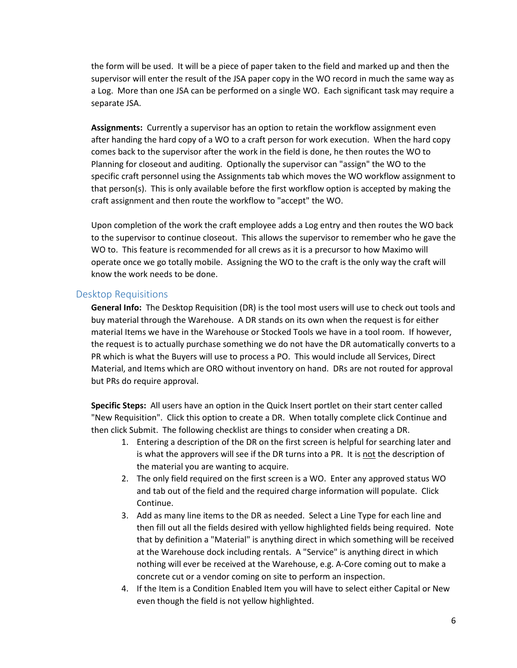the form will be used. It will be a piece of paper taken to the field and marked up and then the supervisor will enter the result of the JSA paper copy in the WO record in much the same way as a Log. More than one JSA can be performed on a single WO. Each significant task may require a separate JSA.

**Assignments:** Currently a supervisor has an option to retain the workflow assignment even after handing the hard copy of a WO to a craft person for work execution. When the hard copy comes back to the supervisor after the work in the field is done, he then routes the WO to Planning for closeout and auditing. Optionally the supervisor can "assign" the WO to the specific craft personnel using the Assignments tab which moves the WO workflow assignment to that person(s). This is only available before the first workflow option is accepted by making the craft assignment and then route the workflow to "accept" the WO.

Upon completion of the work the craft employee adds a Log entry and then routes the WO back to the supervisor to continue closeout. This allows the supervisor to remember who he gave the WO to. This feature is recommended for all crews as it is a precursor to how Maximo will operate once we go totally mobile. Assigning the WO to the craft is the only way the craft will know the work needs to be done.

### Desktop Requisitions

**General Info:** The Desktop Requisition (DR) is the tool most users will use to check out tools and buy material through the Warehouse. A DR stands on its own when the request is for either material Items we have in the Warehouse or Stocked Tools we have in a tool room. If however, the request is to actually purchase something we do not have the DR automatically converts to a PR which is what the Buyers will use to process a PO. This would include all Services, Direct Material, and Items which are ORO without inventory on hand. DRs are not routed for approval but PRs do require approval.

**Specific Steps:** All users have an option in the Quick Insert portlet on their start center called "New Requisition". Click this option to create a DR. When totally complete click Continue and then click Submit. The following checklist are things to consider when creating a DR.

- 1. Entering a description of the DR on the first screen is helpful for searching later and is what the approvers will see if the DR turns into a PR. It is not the description of the material you are wanting to acquire.
- 2. The only field required on the first screen is a WO. Enter any approved status WO and tab out of the field and the required charge information will populate. Click Continue.
- 3. Add as many line items to the DR as needed. Select a Line Type for each line and then fill out all the fields desired with yellow highlighted fields being required. Note that by definition a "Material" is anything direct in which something will be received at the Warehouse dock including rentals. A "Service" is anything direct in which nothing will ever be received at the Warehouse, e.g. A-Core coming out to make a concrete cut or a vendor coming on site to perform an inspection.
- 4. If the Item is a Condition Enabled Item you will have to select either Capital or New even though the field is not yellow highlighted.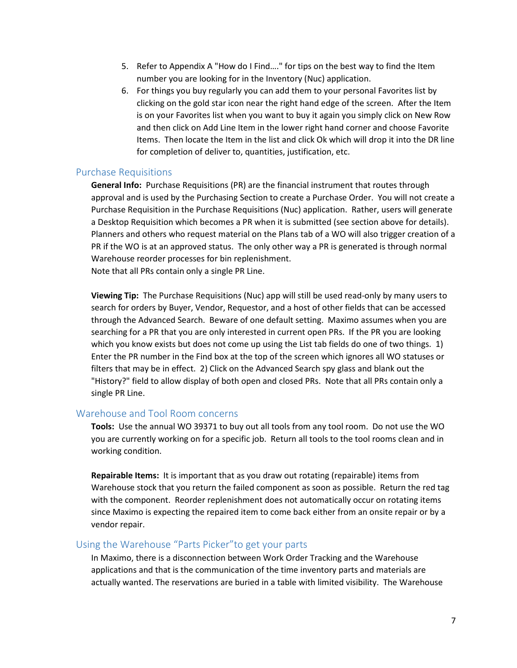- 5. Refer to Appendix A "How do I Find…." for tips on the best way to find the Item number you are looking for in the Inventory (Nuc) application.
- 6. For things you buy regularly you can add them to your personal Favorites list by clicking on the gold star icon near the right hand edge of the screen. After the Item is on your Favorites list when you want to buy it again you simply click on New Row and then click on Add Line Item in the lower right hand corner and choose Favorite Items. Then locate the Item in the list and click Ok which will drop it into the DR line for completion of deliver to, quantities, justification, etc.

### Purchase Requisitions

**General Info:** Purchase Requisitions (PR) are the financial instrument that routes through approval and is used by the Purchasing Section to create a Purchase Order. You will not create a Purchase Requisition in the Purchase Requisitions (Nuc) application. Rather, users will generate a Desktop Requisition which becomes a PR when it is submitted (see section above for details). Planners and others who request material on the Plans tab of a WO will also trigger creation of a PR if the WO is at an approved status. The only other way a PR is generated is through normal Warehouse reorder processes for bin replenishment. Note that all PRs contain only a single PR Line.

**Viewing Tip:** The Purchase Requisitions (Nuc) app will still be used read-only by many users to search for orders by Buyer, Vendor, Requestor, and a host of other fields that can be accessed through the Advanced Search. Beware of one default setting. Maximo assumes when you are searching for a PR that you are only interested in current open PRs. If the PR you are looking which you know exists but does not come up using the List tab fields do one of two things. 1) Enter the PR number in the Find box at the top of the screen which ignores all WO statuses or filters that may be in effect. 2) Click on the Advanced Search spy glass and blank out the "History?" field to allow display of both open and closed PRs. Note that all PRs contain only a single PR Line.

### Warehouse and Tool Room concerns

**Tools:** Use the annual WO 39371 to buy out all tools from any tool room. Do not use the WO you are currently working on for a specific job. Return all tools to the tool rooms clean and in working condition.

**Repairable Items:** It is important that as you draw out rotating (repairable) items from Warehouse stock that you return the failed component as soon as possible. Return the red tag with the component. Reorder replenishment does not automatically occur on rotating items since Maximo is expecting the repaired item to come back either from an onsite repair or by a vendor repair.

### Using the Warehouse "Parts Picker"to get your parts

In Maximo, there is a disconnection between Work Order Tracking and the Warehouse applications and that is the communication of the time inventory parts and materials are actually wanted. The reservations are buried in a table with limited visibility. The Warehouse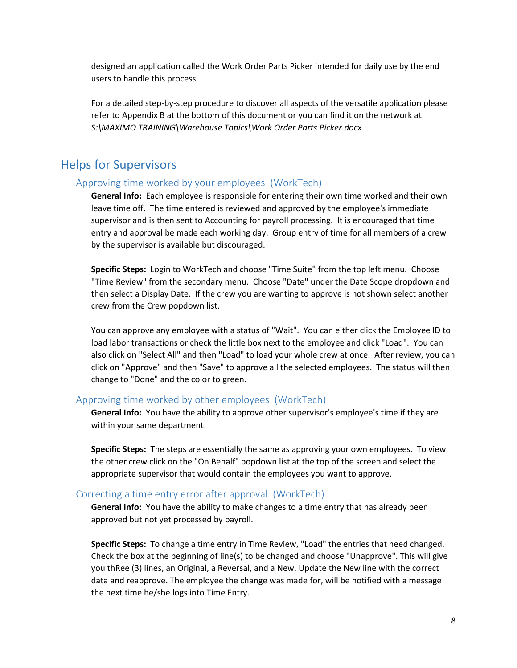designed an application called the Work Order Parts Picker intended for daily use by the end users to handle this process.

For a detailed step-by-step procedure to discover all aspects of the versatile application please refer to Appendix B at the bottom of this document or you can find it on the network at *S:\MAXIMO TRAINING\Warehouse Topics\Work Order Parts Picker.docx* 

### Helps for Supervisors

### Approving time worked by your employees (WorkTech)

**General Info:** Each employee is responsible for entering their own time worked and their own leave time off. The time entered is reviewed and approved by the employee's immediate supervisor and is then sent to Accounting for payroll processing. It is encouraged that time entry and approval be made each working day. Group entry of time for all members of a crew by the supervisor is available but discouraged.

**Specific Steps:** Login to WorkTech and choose "Time Suite" from the top left menu. Choose "Time Review" from the secondary menu. Choose "Date" under the Date Scope dropdown and then select a Display Date. If the crew you are wanting to approve is not shown select another crew from the Crew popdown list.

You can approve any employee with a status of "Wait". You can either click the Employee ID to load labor transactions or check the little box next to the employee and click "Load". You can also click on "Select All" and then "Load" to load your whole crew at once. After review, you can click on "Approve" and then "Save" to approve all the selected employees. The status will then change to "Done" and the color to green.

### Approving time worked by other employees (WorkTech)

**General Info:** You have the ability to approve other supervisor's employee's time if they are within your same department.

**Specific Steps:** The steps are essentially the same as approving your own employees. To view the other crew click on the "On Behalf" popdown list at the top of the screen and select the appropriate supervisor that would contain the employees you want to approve.

#### Correcting a time entry error after approval (WorkTech)

**General Info:** You have the ability to make changes to a time entry that has already been approved but not yet processed by payroll.

**Specific Steps:** To change a time entry in Time Review, "Load" the entries that need changed. Check the box at the beginning of line(s) to be changed and choose "Unapprove". This will give you thRee (3) lines, an Original, a Reversal, and a New. Update the New line with the correct data and reapprove. The employee the change was made for, will be notified with a message the next time he/she logs into Time Entry.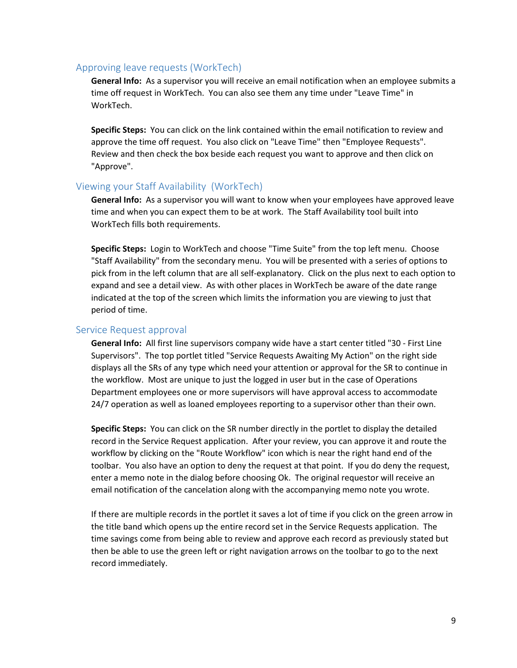### Approving leave requests (WorkTech)

**General Info:** As a supervisor you will receive an email notification when an employee submits a time off request in WorkTech. You can also see them any time under "Leave Time" in WorkTech.

**Specific Steps:** You can click on the link contained within the email notification to review and approve the time off request. You also click on "Leave Time" then "Employee Requests". Review and then check the box beside each request you want to approve and then click on "Approve".

### Viewing your Staff Availability (WorkTech)

**General Info:** As a supervisor you will want to know when your employees have approved leave time and when you can expect them to be at work. The Staff Availability tool built into WorkTech fills both requirements.

**Specific Steps:** Login to WorkTech and choose "Time Suite" from the top left menu. Choose "Staff Availability" from the secondary menu. You will be presented with a series of options to pick from in the left column that are all self-explanatory. Click on the plus next to each option to expand and see a detail view. As with other places in WorkTech be aware of the date range indicated at the top of the screen which limits the information you are viewing to just that period of time.

### Service Request approval

**General Info:** All first line supervisors company wide have a start center titled "30 - First Line Supervisors". The top portlet titled "Service Requests Awaiting My Action" on the right side displays all the SRs of any type which need your attention or approval for the SR to continue in the workflow. Most are unique to just the logged in user but in the case of Operations Department employees one or more supervisors will have approval access to accommodate 24/7 operation as well as loaned employees reporting to a supervisor other than their own.

**Specific Steps:** You can click on the SR number directly in the portlet to display the detailed record in the Service Request application. After your review, you can approve it and route the workflow by clicking on the "Route Workflow" icon which is near the right hand end of the toolbar. You also have an option to deny the request at that point. If you do deny the request, enter a memo note in the dialog before choosing Ok. The original requestor will receive an email notification of the cancelation along with the accompanying memo note you wrote.

If there are multiple records in the portlet it saves a lot of time if you click on the green arrow in the title band which opens up the entire record set in the Service Requests application. The time savings come from being able to review and approve each record as previously stated but then be able to use the green left or right navigation arrows on the toolbar to go to the next record immediately.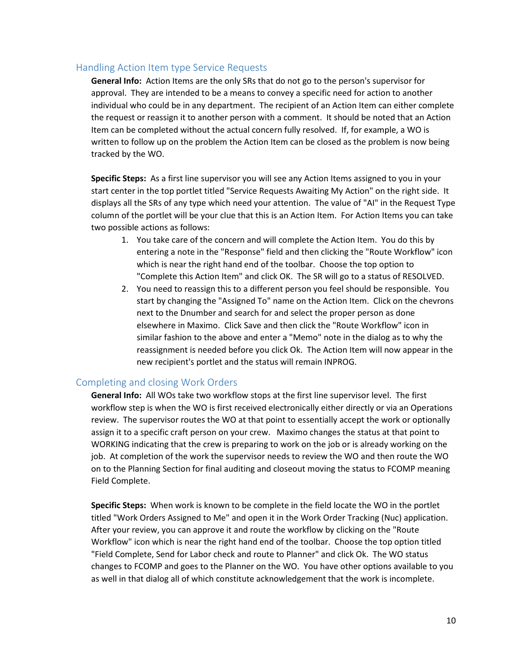### Handling Action Item type Service Requests

**General Info:** Action Items are the only SRs that do not go to the person's supervisor for approval. They are intended to be a means to convey a specific need for action to another individual who could be in any department. The recipient of an Action Item can either complete the request or reassign it to another person with a comment. It should be noted that an Action Item can be completed without the actual concern fully resolved. If, for example, a WO is written to follow up on the problem the Action Item can be closed as the problem is now being tracked by the WO.

**Specific Steps:** As a first line supervisor you will see any Action Items assigned to you in your start center in the top portlet titled "Service Requests Awaiting My Action" on the right side. It displays all the SRs of any type which need your attention. The value of "AI" in the Request Type column of the portlet will be your clue that this is an Action Item. For Action Items you can take two possible actions as follows:

- 1. You take care of the concern and will complete the Action Item. You do this by entering a note in the "Response" field and then clicking the "Route Workflow" icon which is near the right hand end of the toolbar. Choose the top option to "Complete this Action Item" and click OK. The SR will go to a status of RESOLVED.
- 2. You need to reassign this to a different person you feel should be responsible. You start by changing the "Assigned To" name on the Action Item. Click on the chevrons next to the Dnumber and search for and select the proper person as done elsewhere in Maximo. Click Save and then click the "Route Workflow" icon in similar fashion to the above and enter a "Memo" note in the dialog as to why the reassignment is needed before you click Ok. The Action Item will now appear in the new recipient's portlet and the status will remain INPROG.

### Completing and closing Work Orders

**General Info:** All WOs take two workflow stops at the first line supervisor level. The first workflow step is when the WO is first received electronically either directly or via an Operations review. The supervisor routes the WO at that point to essentially accept the work or optionally assign it to a specific craft person on your crew. Maximo changes the status at that point to WORKING indicating that the crew is preparing to work on the job or is already working on the job. At completion of the work the supervisor needs to review the WO and then route the WO on to the Planning Section for final auditing and closeout moving the status to FCOMP meaning Field Complete.

**Specific Steps:** When work is known to be complete in the field locate the WO in the portlet titled "Work Orders Assigned to Me" and open it in the Work Order Tracking (Nuc) application. After your review, you can approve it and route the workflow by clicking on the "Route Workflow" icon which is near the right hand end of the toolbar. Choose the top option titled "Field Complete, Send for Labor check and route to Planner" and click Ok. The WO status changes to FCOMP and goes to the Planner on the WO. You have other options available to you as well in that dialog all of which constitute acknowledgement that the work is incomplete.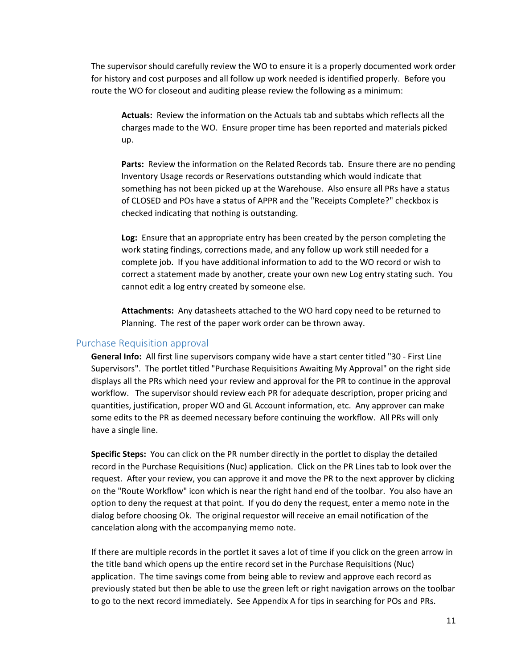The supervisor should carefully review the WO to ensure it is a properly documented work order for history and cost purposes and all follow up work needed is identified properly. Before you route the WO for closeout and auditing please review the following as a minimum:

**Actuals:** Review the information on the Actuals tab and subtabs which reflects all the charges made to the WO. Ensure proper time has been reported and materials picked up.

**Parts:** Review the information on the Related Records tab. Ensure there are no pending Inventory Usage records or Reservations outstanding which would indicate that something has not been picked up at the Warehouse. Also ensure all PRs have a status of CLOSED and POs have a status of APPR and the "Receipts Complete?" checkbox is checked indicating that nothing is outstanding.

**Log:** Ensure that an appropriate entry has been created by the person completing the work stating findings, corrections made, and any follow up work still needed for a complete job. If you have additional information to add to the WO record or wish to correct a statement made by another, create your own new Log entry stating such. You cannot edit a log entry created by someone else.

**Attachments:** Any datasheets attached to the WO hard copy need to be returned to Planning. The rest of the paper work order can be thrown away.

### Purchase Requisition approval

**General Info:** All first line supervisors company wide have a start center titled "30 - First Line Supervisors". The portlet titled "Purchase Requisitions Awaiting My Approval" on the right side displays all the PRs which need your review and approval for the PR to continue in the approval workflow. The supervisor should review each PR for adequate description, proper pricing and quantities, justification, proper WO and GL Account information, etc. Any approver can make some edits to the PR as deemed necessary before continuing the workflow. All PRs will only have a single line.

**Specific Steps:** You can click on the PR number directly in the portlet to display the detailed record in the Purchase Requisitions (Nuc) application. Click on the PR Lines tab to look over the request. After your review, you can approve it and move the PR to the next approver by clicking on the "Route Workflow" icon which is near the right hand end of the toolbar. You also have an option to deny the request at that point. If you do deny the request, enter a memo note in the dialog before choosing Ok. The original requestor will receive an email notification of the cancelation along with the accompanying memo note.

If there are multiple records in the portlet it saves a lot of time if you click on the green arrow in the title band which opens up the entire record set in the Purchase Requisitions (Nuc) application. The time savings come from being able to review and approve each record as previously stated but then be able to use the green left or right navigation arrows on the toolbar to go to the next record immediately. See Appendix A for tips in searching for POs and PRs.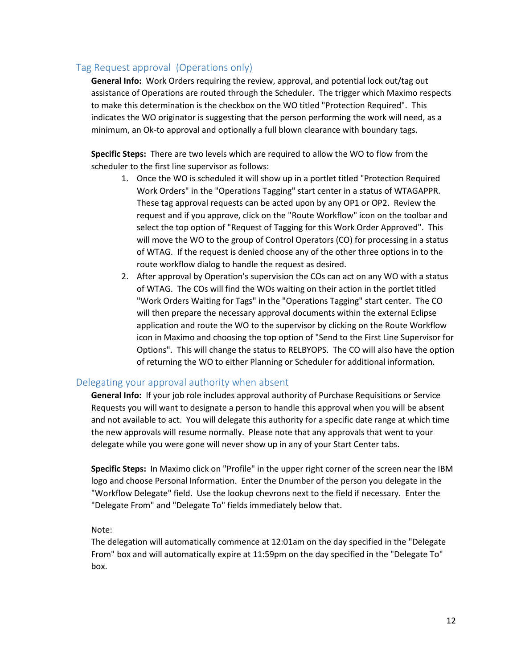### Tag Request approval (Operations only)

**General Info:** Work Orders requiring the review, approval, and potential lock out/tag out assistance of Operations are routed through the Scheduler. The trigger which Maximo respects to make this determination is the checkbox on the WO titled "Protection Required". This indicates the WO originator is suggesting that the person performing the work will need, as a minimum, an Ok-to approval and optionally a full blown clearance with boundary tags.

**Specific Steps:** There are two levels which are required to allow the WO to flow from the scheduler to the first line supervisor as follows:

- 1. Once the WO is scheduled it will show up in a portlet titled "Protection Required Work Orders" in the "Operations Tagging" start center in a status of WTAGAPPR. These tag approval requests can be acted upon by any OP1 or OP2. Review the request and if you approve, click on the "Route Workflow" icon on the toolbar and select the top option of "Request of Tagging for this Work Order Approved". This will move the WO to the group of Control Operators (CO) for processing in a status of WTAG. If the request is denied choose any of the other three options in to the route workflow dialog to handle the request as desired.
- 2. After approval by Operation's supervision the COs can act on any WO with a status of WTAG. The COs will find the WOs waiting on their action in the portlet titled "Work Orders Waiting for Tags" in the "Operations Tagging" start center. The CO will then prepare the necessary approval documents within the external Eclipse application and route the WO to the supervisor by clicking on the Route Workflow icon in Maximo and choosing the top option of "Send to the First Line Supervisor for Options". This will change the status to RELBYOPS. The CO will also have the option of returning the WO to either Planning or Scheduler for additional information.

### Delegating your approval authority when absent

**General Info:** If your job role includes approval authority of Purchase Requisitions or Service Requests you will want to designate a person to handle this approval when you will be absent and not available to act. You will delegate this authority for a specific date range at which time the new approvals will resume normally. Please note that any approvals that went to your delegate while you were gone will never show up in any of your Start Center tabs.

**Specific Steps:** In Maximo click on "Profile" in the upper right corner of the screen near the IBM logo and choose Personal Information. Enter the Dnumber of the person you delegate in the "Workflow Delegate" field. Use the lookup chevrons next to the field if necessary. Enter the "Delegate From" and "Delegate To" fields immediately below that.

### Note:

The delegation will automatically commence at 12:01am on the day specified in the "Delegate From" box and will automatically expire at 11:59pm on the day specified in the "Delegate To" box.